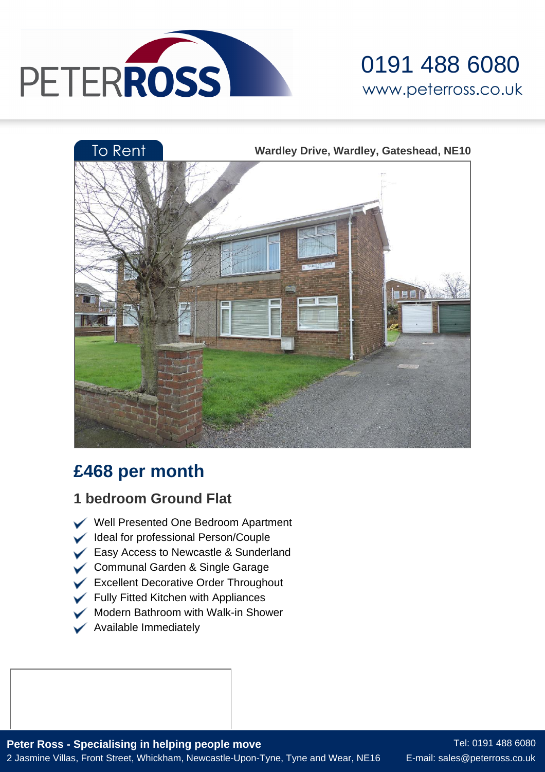





# **£468 per month**

## **1 bedroom Ground Flat**

- Well Presented One Bedroom Apartment
- $\blacktriangleright$  Ideal for professional Person/Couple
- Easy Access to Newcastle & Sunderland
- Communal Garden & Single Garage
- Excellent Decorative Order Throughout
- $\blacktriangleright$  Fully Fitted Kitchen with Appliances
- Modern Bathroom with Walk-in Shower
- $\blacktriangleright$  Available Immediately

**Peter Ross - Specialising in helping people move** 2 Jasmine Villas, Front Street, Whickham, Newcastle-Upon-Tyne, Tyne and Wear, NE16

Tel: 0191 488 6080 E-mail: sales@peterross.co.uk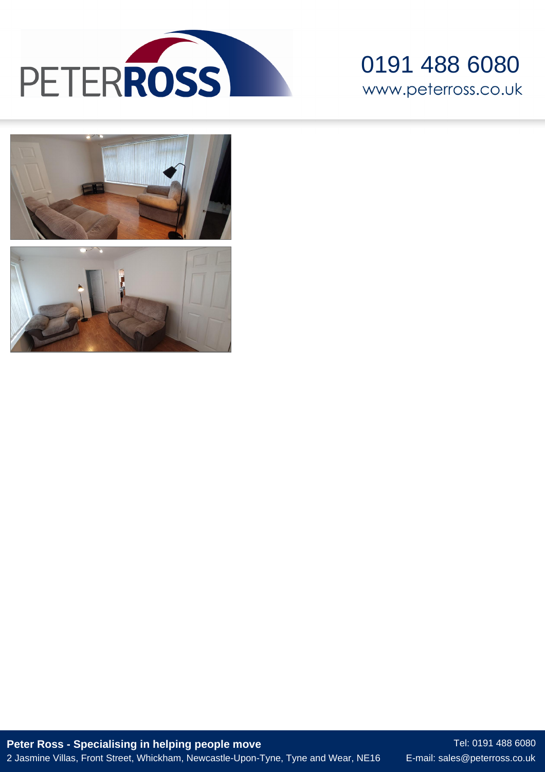







**Peter Ross - Specialising in helping people move** 2 Jasmine Villas, Front Street, Whickham, Newcastle-Upon-Tyne, Tyne and Wear, NE16

Tel: 0191 488 6080 E-mail: sales@peterross.co.uk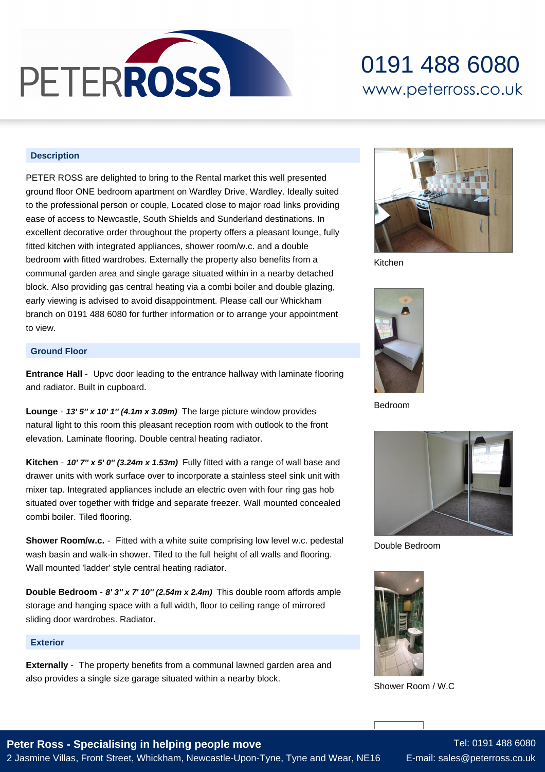

# 0191 488 6080 www.peterross.co.uk

### **Description**

PETER ROSS are delighted to bring to the Rental market this well presented ground floor ONE bedroom apartment on Wardley Drive, Wardley. Ideally suited to the professional person or couple, Located close to major road links providing ease of access to Newcastle, South Shields and Sunderland destinations. In excellent decorative order throughout the property offers a pleasant lounge, fully fitted kitchen with integrated appliances, shower room/w.c. and a double bedroom with fitted wardrobes. Externally the property also benefits from a communal garden area and single garage situated within in a nearby detached block. Also providing gas central heating via a combi boiler and double glazing, early viewing is advised to avoid disappointment. Please call our Whickham branch on 0191 488 6080 for further information or to arrange your appointment to view.

#### **Ground Floor**

**Entrance Hall** - Upvc door leading to the entrance hallway with laminate flooring and radiator. Built in cupboard.

**Lounge** - **13' 5'' x 10' 1'' (4.1m x 3.09m)** The large picture window provides natural light to this room this pleasant reception room with outlook to the front elevation. Laminate flooring. Double central heating radiator.

**Kitchen** - **10' 7'' x 5' 0'' (3.24m x 1.53m)** Fully fitted with a range of wall base and drawer units with work surface over to incorporate a stainless steel sink unit with mixer tap. Integrated appliances include an electric oven with four ring gas hob situated over together with fridge and separate freezer. Wall mounted concealed combi boiler. Tiled flooring.

**Shower Room/w.c.** - Fitted with a white suite comprising low level w.c. pedestal wash basin and walk-in shower. Tiled to the full height of all walls and flooring. Wall mounted 'ladder' style central heating radiator.

**Double Bedroom** - **8' 3'' x 7' 10'' (2.54m x 2.4m)** This double room affords ample storage and hanging space with a full width, floor to ceiling range of mirrored sliding door wardrobes. Radiator.

#### **Exterior**

**Externally** - The property benefits from a communal lawned garden area and also provides a single size garage situated within a nearby block.



Kitchen



Bedroom



Double Bedroom



Shower Room / W.C